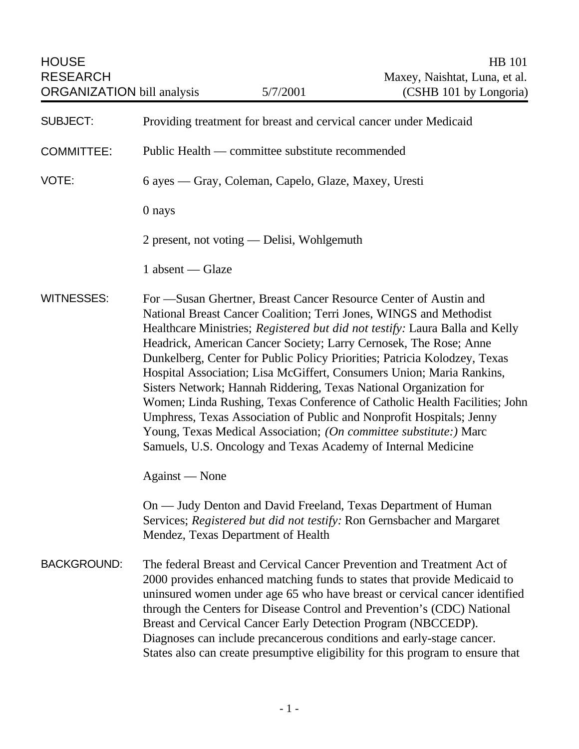| <b>HOUSE</b><br><b>RESEARCH</b>   |                                                                                                                                                                                                                                                                                                                                                                                                                                                                                                                                                                                                                                                                                                                                                                                                                     | <b>HB</b> 101<br>Maxey, Naishtat, Luna, et al. |
|-----------------------------------|---------------------------------------------------------------------------------------------------------------------------------------------------------------------------------------------------------------------------------------------------------------------------------------------------------------------------------------------------------------------------------------------------------------------------------------------------------------------------------------------------------------------------------------------------------------------------------------------------------------------------------------------------------------------------------------------------------------------------------------------------------------------------------------------------------------------|------------------------------------------------|
| <b>ORGANIZATION</b> bill analysis | 5/7/2001                                                                                                                                                                                                                                                                                                                                                                                                                                                                                                                                                                                                                                                                                                                                                                                                            | (CSHB 101 by Longoria)                         |
| <b>SUBJECT:</b>                   | Providing treatment for breast and cervical cancer under Medicaid                                                                                                                                                                                                                                                                                                                                                                                                                                                                                                                                                                                                                                                                                                                                                   |                                                |
| <b>COMMITTEE:</b>                 | Public Health — committee substitute recommended                                                                                                                                                                                                                                                                                                                                                                                                                                                                                                                                                                                                                                                                                                                                                                    |                                                |
| VOTE:                             | 6 ayes — Gray, Coleman, Capelo, Glaze, Maxey, Uresti                                                                                                                                                                                                                                                                                                                                                                                                                                                                                                                                                                                                                                                                                                                                                                |                                                |
|                                   | 0 nays                                                                                                                                                                                                                                                                                                                                                                                                                                                                                                                                                                                                                                                                                                                                                                                                              |                                                |
|                                   | 2 present, not voting — Delisi, Wohlgemuth                                                                                                                                                                                                                                                                                                                                                                                                                                                                                                                                                                                                                                                                                                                                                                          |                                                |
|                                   | $1$ absent — Glaze                                                                                                                                                                                                                                                                                                                                                                                                                                                                                                                                                                                                                                                                                                                                                                                                  |                                                |
| <b>WITNESSES:</b>                 | For —Susan Ghertner, Breast Cancer Resource Center of Austin and<br>National Breast Cancer Coalition; Terri Jones, WINGS and Methodist<br>Healthcare Ministries; Registered but did not testify: Laura Balla and Kelly<br>Headrick, American Cancer Society; Larry Cernosek, The Rose; Anne<br>Dunkelberg, Center for Public Policy Priorities; Patricia Kolodzey, Texas<br>Hospital Association; Lisa McGiffert, Consumers Union; Maria Rankins,<br>Sisters Network; Hannah Riddering, Texas National Organization for<br>Women; Linda Rushing, Texas Conference of Catholic Health Facilities; John<br>Umphress, Texas Association of Public and Nonprofit Hospitals; Jenny<br>Young, Texas Medical Association; (On committee substitute:) Marc<br>Samuels, U.S. Oncology and Texas Academy of Internal Medicine |                                                |
|                                   | Against — None                                                                                                                                                                                                                                                                                                                                                                                                                                                                                                                                                                                                                                                                                                                                                                                                      |                                                |
|                                   | On — Judy Denton and David Freeland, Texas Department of Human<br>Services; Registered but did not testify: Ron Gernsbacher and Margaret<br>Mendez, Texas Department of Health                                                                                                                                                                                                                                                                                                                                                                                                                                                                                                                                                                                                                                      |                                                |
| <b>BACKGROUND:</b>                | The federal Breast and Cervical Cancer Prevention and Treatment Act of<br>2000 provides enhanced matching funds to states that provide Medicaid to<br>uninsured women under age 65 who have breast or cervical cancer identified<br>through the Centers for Disease Control and Prevention's (CDC) National<br>Breast and Cervical Cancer Early Detection Program (NBCCEDP).<br>Diagnoses can include precancerous conditions and early-stage cancer.<br>States also can create presumptive eligibility for this program to ensure that                                                                                                                                                                                                                                                                             |                                                |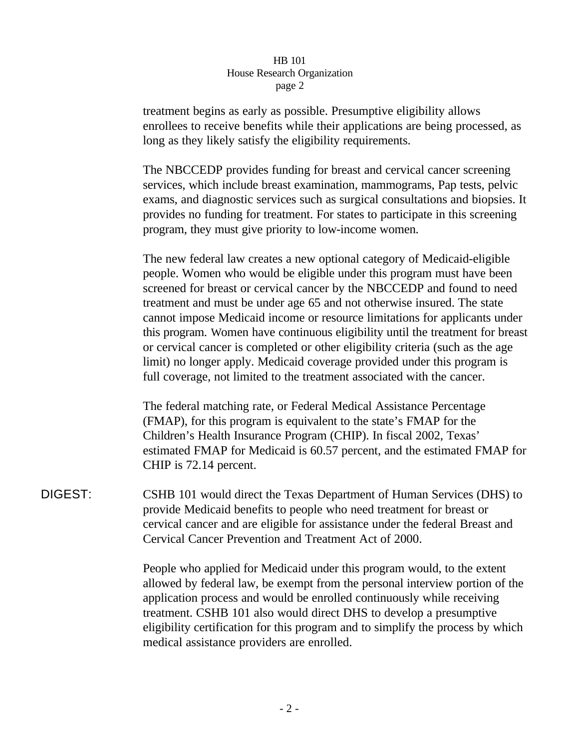## HB 101 House Research Organization page 2

treatment begins as early as possible. Presumptive eligibility allows enrollees to receive benefits while their applications are being processed, as long as they likely satisfy the eligibility requirements.

The NBCCEDP provides funding for breast and cervical cancer screening services, which include breast examination, mammograms, Pap tests, pelvic exams, and diagnostic services such as surgical consultations and biopsies. It provides no funding for treatment. For states to participate in this screening program, they must give priority to low-income women.

The new federal law creates a new optional category of Medicaid-eligible people. Women who would be eligible under this program must have been screened for breast or cervical cancer by the NBCCEDP and found to need treatment and must be under age 65 and not otherwise insured. The state cannot impose Medicaid income or resource limitations for applicants under this program. Women have continuous eligibility until the treatment for breast or cervical cancer is completed or other eligibility criteria (such as the age limit) no longer apply. Medicaid coverage provided under this program is full coverage, not limited to the treatment associated with the cancer.

The federal matching rate, or Federal Medical Assistance Percentage (FMAP), for this program is equivalent to the state's FMAP for the Children's Health Insurance Program (CHIP). In fiscal 2002, Texas' estimated FMAP for Medicaid is 60.57 percent, and the estimated FMAP for CHIP is 72.14 percent.

DIGEST: CSHB 101 would direct the Texas Department of Human Services (DHS) to provide Medicaid benefits to people who need treatment for breast or cervical cancer and are eligible for assistance under the federal Breast and Cervical Cancer Prevention and Treatment Act of 2000.

> People who applied for Medicaid under this program would, to the extent allowed by federal law, be exempt from the personal interview portion of the application process and would be enrolled continuously while receiving treatment. CSHB 101 also would direct DHS to develop a presumptive eligibility certification for this program and to simplify the process by which medical assistance providers are enrolled.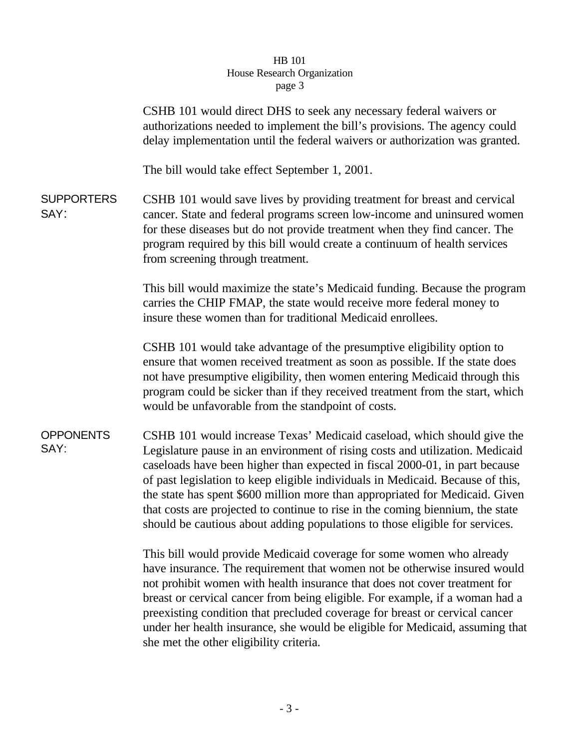## HB 101 House Research Organization page 3

|                           | page <i>J</i>                                                                                                                                                                                                                                                                                                                                                                                                                                                                                                                                                              |
|---------------------------|----------------------------------------------------------------------------------------------------------------------------------------------------------------------------------------------------------------------------------------------------------------------------------------------------------------------------------------------------------------------------------------------------------------------------------------------------------------------------------------------------------------------------------------------------------------------------|
|                           | CSHB 101 would direct DHS to seek any necessary federal waivers or<br>authorizations needed to implement the bill's provisions. The agency could<br>delay implementation until the federal waivers or authorization was granted.                                                                                                                                                                                                                                                                                                                                           |
|                           | The bill would take effect September 1, 2001.                                                                                                                                                                                                                                                                                                                                                                                                                                                                                                                              |
| <b>SUPPORTERS</b><br>SAY: | CSHB 101 would save lives by providing treatment for breast and cervical<br>cancer. State and federal programs screen low-income and uninsured women<br>for these diseases but do not provide treatment when they find cancer. The<br>program required by this bill would create a continuum of health services<br>from screening through treatment.                                                                                                                                                                                                                       |
|                           | This bill would maximize the state's Medicaid funding. Because the program<br>carries the CHIP FMAP, the state would receive more federal money to<br>insure these women than for traditional Medicaid enrollees.                                                                                                                                                                                                                                                                                                                                                          |
|                           | CSHB 101 would take advantage of the presumptive eligibility option to<br>ensure that women received treatment as soon as possible. If the state does<br>not have presumptive eligibility, then women entering Medicaid through this<br>program could be sicker than if they received treatment from the start, which<br>would be unfavorable from the standpoint of costs.                                                                                                                                                                                                |
| <b>OPPONENTS</b><br>SAY:  | CSHB 101 would increase Texas' Medicaid caseload, which should give the<br>Legislature pause in an environment of rising costs and utilization. Medicaid<br>caseloads have been higher than expected in fiscal 2000-01, in part because<br>of past legislation to keep eligible individuals in Medicaid. Because of this,<br>the state has spent \$600 million more than appropriated for Medicaid. Given<br>that costs are projected to continue to rise in the coming biennium, the state<br>should be cautious about adding populations to those eligible for services. |
|                           | This bill would provide Medicaid coverage for some women who already<br>have insurance. The requirement that women not be otherwise insured would<br>not prohibit women with health insurance that does not cover treatment for<br>breast or cervical cancer from being eligible. For example, if a woman had a<br>progripting condition that progluded coverage for broast or corviced cancer                                                                                                                                                                             |

preexisting condition that precluded coverage for breast or cervical cancer under her health insurance, she would be eligible for Medicaid, assuming that she met the other eligibility criteria.